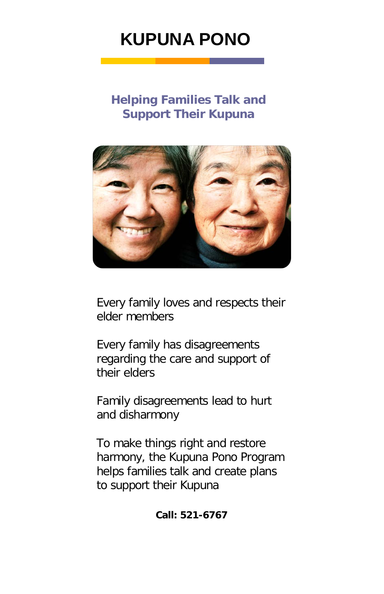# **KUPUNA PONO**

## **Helping Families Talk and Support Their Kupuna**



Every family loves and respects their elder members

Every family has disagreements regarding the care and support of their elders

Family disagreements lead to hurt and disharmony

To make things right and restore harmony, the Kupuna Pono Program helps families talk and create plans to support their Kupuna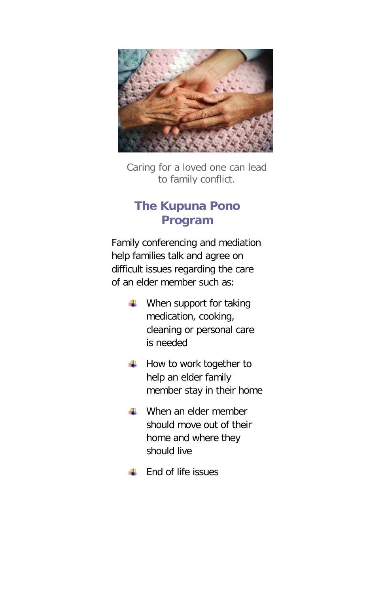

Caring for a loved one can lead to family conflict.

### **The Kupuna Pono Program**

Family conferencing and mediation help families talk and agree on difficult issues regarding the care of an elder member such as:

- $\blacksquare$  When support for taking medication, cooking, cleaning or personal care is needed
- How to work together to help an elder family member stay in their home
- **↓ When an elder member** should move out of their home and where they should live
- End of life issues ۵Ŀ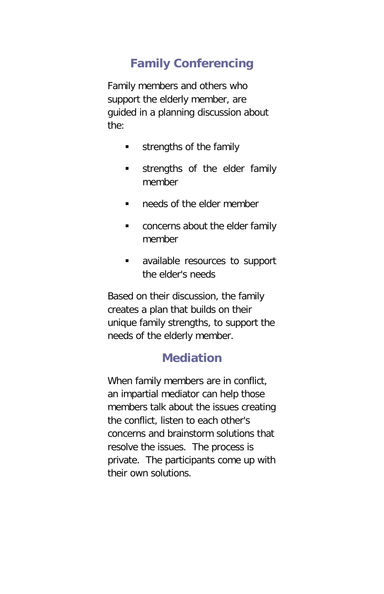## **Family Conferencing**

Family members and others who support the elderly member, are guided in a planning discussion about the:

- **strengths of the family**
- **strengths of the elder family** member
- **needs of the elder member**
- **CONCERTY** concerns about the elder family member
- available resources to support the elder's needs

Based on their discussion, the family creates a plan that builds on their unique family strengths, to support the needs of the elderly member.

#### **Mediation**

When family members are in conflict, an impartial mediator can help those members talk about the issues creating the conflict, listen to each other's concerns and brainstorm solutions that resolve the issues. The process is private. The participants come up with their own solutions.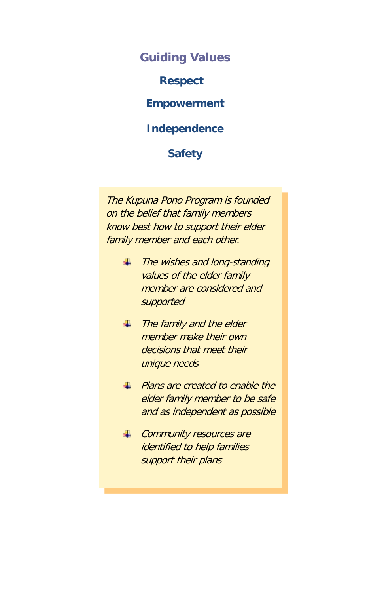**Guiding Values Respect Empowerment Independence Safety**

The Kupuna Pono Program is founded on the belief that family members know best how to support their elder family member and each other*.*

- The wishes and long-standing values of the elder family member are considered and supported
- $\blacksquare$  The family and the elder member make their own decisions that meet their unique needs
- **Plans are created to enable the** elder family member to be safe and as independent as possible
- Community resources are identified to help families support their plans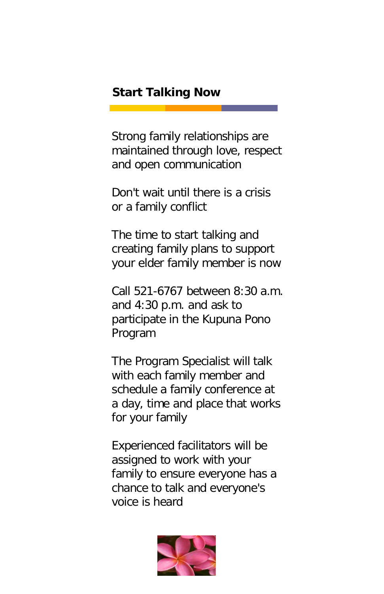#### **Start Talking Now**

Strong family relationships are maintained through love, respect and open communication

Don't wait until there is a crisis or a family conflict

The time to start talking and creating family plans to support your elder family member is now

Call 521-6767 between 8:30 a.m. and 4:30 p.m. and ask to participate in the Kupuna Pono Program

The Program Specialist will talk with each family member and schedule a family conference at a day, time and place that works for your family

Experienced facilitators will be assigned to work with your family to ensure everyone has a chance to talk and everyone's voice is heard